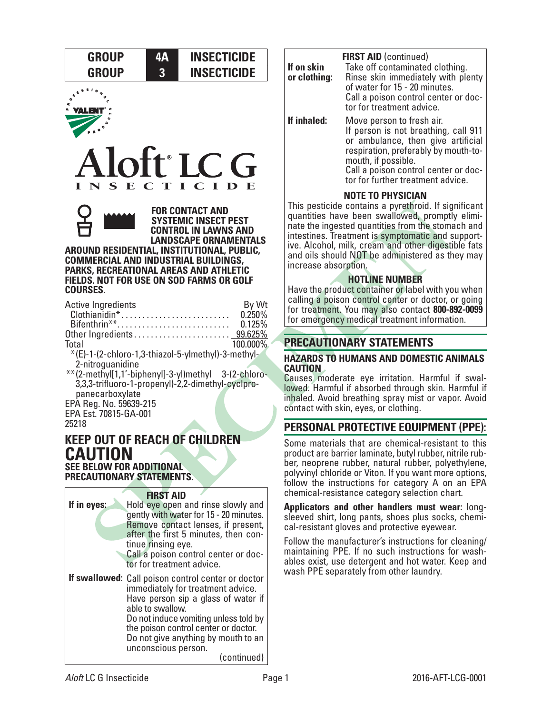







**FOR CONTACT AND SYSTEMIC INSECT PEST CONTROL IN LAWNS AND LANDSCAPE ORNAMENTALS** 

**AROUND RESIDENTIAL, INSTITUTIONAL, PUBLIC, COMMERCIAL AND INDUSTRIAL BUILDINGS, PARKS, RECREATIONAL AREAS AND ATHLETIC FIELDS. NOT FOR USE ON SOD FARMS OR GOLF COURSES.**

| <b>Active Ingredients</b>                           | By Wt    |
|-----------------------------------------------------|----------|
| $Chothianidin^*$                                    | 0.250%   |
| Bifenthrin**                                        | 0.125%   |
|                                                     |          |
| Total                                               | 100.000% |
| *(E)-1-(2-chloro-1,3-thiazol-5-ylmethyl)-3-methyl-  |          |
| 2-nitroguanidine                                    |          |
| **(2-methyl[1,1'-biphenyl]-3-yl)methyl 3-(2-chloro- |          |
| 3,3,3-trifluoro-1-propenyl)-2,2-dimethyl-cyclpro-   |          |
| panecarboxylate                                     |          |
| EPA Reg. No. 59639-215                              |          |
| EPA Est. 70815-GA-001                               |          |

25218

# **KEEP OUT OF REACH OF CHILDREN CAUTION SEE BELOW FOR ADDITIONAL**

**PRECAUTIONARY STATEMENTS.**

## **FIRST AID**

| If in eyes: | Hold eye open and rinse slowly and<br>gently with water for 15 - 20 minutes.<br>Remove contact lenses, if present,<br>after the first 5 minutes, then con-<br>tinue rinsing eye.<br>Call a poison control center or doc-<br>tor for treatment advice.                                                            |
|-------------|------------------------------------------------------------------------------------------------------------------------------------------------------------------------------------------------------------------------------------------------------------------------------------------------------------------|
|             | If swallowed: Call poison control center or doctor<br>immediately for treatment advice.<br>Have person sip a glass of water if<br>able to swallow.<br>Do not induce vomiting unless told by<br>the poison control center or doctor.<br>Do not give anything by mouth to an<br>unconscious person.<br>(continued) |

|              | <b>FIRST AID (continued)</b>                                                                                                                                           |
|--------------|------------------------------------------------------------------------------------------------------------------------------------------------------------------------|
| If on skin   | Take off contaminated clothing.                                                                                                                                        |
| or clothing: | Rinse skin immediately with plenty                                                                                                                                     |
|              | of water for 15 - 20 minutes.                                                                                                                                          |
|              | Call a poison control center or doc-<br>tor for treatment advice.                                                                                                      |
| If inhaled:  | Move person to fresh air.<br>If person is not breathing, call 911<br>or ambulance, then give artificial<br>respiration, preferably by mouth-to-<br>mouth, if possible. |
|              | Call a poison control center or doc-<br>tor for further treatment advice.                                                                                              |

# **NOTE TO PHYSICIAN**

This pesticide contains a pyrethroid. If significant quantities have been swallowed, promptly eliminate the ingested quantities from the stomach and intestines. Treatment is symptomatic and supportive. Alcohol, milk, cream and other digestible fats and oils should NOT be administered as they may increase absorption.

## **HOTLINE NUMBER**

Have the product container or label with you when calling a poison control center or doctor, or going for treatment. You may also contact **800-892-0099** for emergency medical treatment information.

# **PRECAUTIONARY STATEMENTS**

### **HAZARDS TO HUMANS AND DOMESTIC ANIMALS CAUTION**

Causes moderate eye irritation. Harmful if swal- lowed. Harmful if absorbed through skin. Harmful if inhaled. Avoid breathing spray mist or vapor. Avoid contact with skin, eyes, or clothing.

# **PERSONAL PROTECTIVE EQUIPMENT (PPE):**

Some materials that are chemical-resistant to this product are barrier laminate, butyl rubber, nitrile rubber, neoprene rubber, natural rubber, polyethylene, polyvinyl chloride or Viton. If you want more options, follow the instructions for category A on an EPA chemical-resistance category selection chart.

**Applicators and other handlers must wear:** longsleeved shirt, long pants, shoes plus socks, chemical-resistant gloves and protective eyewear.

Follow the manufacturer's instructions for cleaning/ maintaining PPE. If no such instructions for washables exist, use detergent and hot water. Keep and wash PPE separately from other laundry.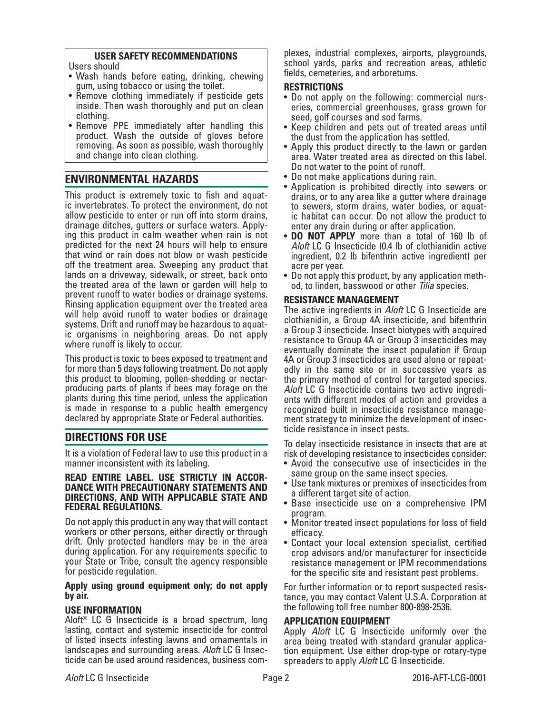## **USER SAFETY RECOMMENDATIONS**

Users should

- Wash hands before eating, drinking, chewing gum, using tobacco or using the toilet.
- Remove clothing immediately if pesticide gets inside. Then wash thoroughly and put on clean clothing.
- Remove PPE immediately after handling this product. Wash the outside of gloves before removing. As soon as possible, wash thoroughly and change into clean clothing.

# **ENVIRONMENTAL HAZARDS**

This product is extremely toxic to fish and aquat- ic invertebrates. To protect the environment, do not allow pesticide to enter or run off into storm drains, drainage ditches, gutters or surface waters. Apply- ing this product in calm weather when rain is not predicted for the next 24 hours will help to ensure that wind or rain does not blow or wash pesticide off the treatment area. Sweeping any product that lands on a driveway, sidewalk, or street, back onto the treated area of the lawn or garden will help to prevent runoff to water bodies or drainage systems. Rinsing application equipment over the treated area will help avoid runoff to water bodies or drainage systems. Drift and runoff may be hazardous to aquatic organisms in neighboring areas. Do not apply where runoff is likely to occur.

This product is toxic to bees exposed to treatment and for more than 5 days following treatment. Do not apply this product to blooming, pollen-shedding or nectarproducing parts of plants if bees may forage on the plants during this time period, unless the application is made in response to a public health emergency declared by appropriate State or Federal authorities.

# **DIRECTIONS FOR USE**

It is a violation of Federal law to use this product in a manner inconsistent with its labeling.

# **READ ENTIRE LABEL. USE STRICTLY IN ACCOR- DANCE WITH PRECAUTIONARY STATEMENTS AND DIRECTIONS, AND WITH APPLICABLE STATE AND FEDERAL REGULATIONS.**

Do not apply this product in any way that will contact workers or other persons, either directly or through drift. Only protected handlers may be in the area during application. For any requirements specific to your State or Tribe, consult the agency responsible for pesticide regulation.

#### **Apply using ground equipment only; do not apply by air.**

## **USE INFORMATION**

Aloft® LC G Insecticide is a broad spectrum, long lasting, contact and systemic insecticide for control of listed insects infesting lawns and ornamentals in landscapes and surrounding areas. *Aloft* LC G Insecticide can be used around residences, business com-

plexes, industrial complexes, airports, playgrounds, school yards, parks and recreation areas, athletic fields, cemeteries, and arboretums.

## **RESTRICTIONS**

- Do not apply on the following: commercial nurseries, commercial greenhouses, grass grown for seed, golf courses and sod farms.
- Keep children and pets out of treated areas until the dust from the application has settled.
- Apply this product directly to the lawn or garden area. Water treated area as directed on this label. Do not water to the point of runoff.
- Do not make applications during rain.
- Application is prohibited directly into sewers or drains, or to any area like a gutter where drainage to sewers, storm drains, water bodies, or aquatic habitat can occur. Do not allow the product to enter any drain during or after application.
- **DO NOT APPLY** more than a total of 160 lb of *Aloft* LC G Insecticide (0.4 lb of clothianidin active ingredient, 0.2 lb bifenthrin active ingredient) per acre per year.
- Do not apply this product, by any application method, to linden, basswood or other *Tilia* species.

## **RESISTANCE MANAGEMENT**

The active ingredients in *Aloft* LC G Insecticide are clothianidin, a Group 4A insecticide, and bifenthrin a Group 3 insecticide. Insect biotypes with acquired resistance to Group 4A or Group 3 insecticides may eventually dominate the insect population if Group 4A or Group 3 insecticides are used alone or repeatedly in the same site or in successive years as the primary method of control for targeted species. *Aloft* LC G Insecticide contains two active ingredi- ents with different modes of action and provides a recognized built in insecticide resistance management strategy to minimize the development of insecticide resistance in insect pests.

To delay insecticide resistance in insects that are at risk of developing resistance to insecticides consider:

- Avoid the consecutive use of insecticides in the same group on the same insect species.
- Use tank mixtures or premixes of insecticides from a different target site of action.
- Base insecticide use on a comprehensive IPM program.
- Monitor treated insect populations for loss of field efficacy.
- Contact your local extension specialist, certified crop advisors and/or manufacturer for insecticide resistance management or IPM recommendations for the specific site and resistant pest problems.

For further information or to report suspected resistance, you may contact Valent U.S.A. Corporation at the following toll free number 800-898-2536.

## **APPLICATION EQUIPMENT**

Apply *Aloft* LC G Insecticide uniformly over the area being treated with standard granular applica- tion equipment. Use either drop-type or rotary-type spreaders to apply *Aloft* LC G Insecticide.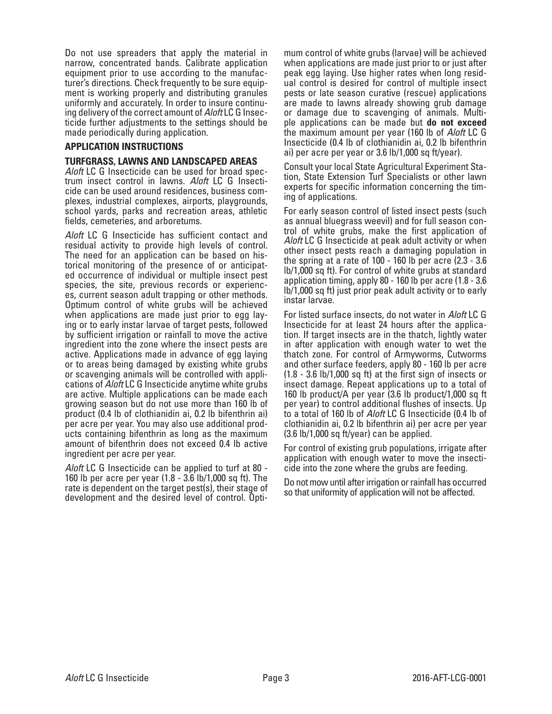Do not use spreaders that apply the material in narrow, concentrated bands. Calibrate application equipment prior to use according to the manufac- turer's directions. Check frequently to be sure equip- ment is working properly and distributing granules uniformly and accurately. In order to insure continu- ing delivery of the correct amount of *Aloft* LC G Insec- ticide further adjustments to the settings should be made periodically during application.

#### **APPLICATION INSTRUCTIONS**

#### **TURFGRASS, LAWNS AND LANDSCAPED AREAS**

*Aloft* LC G Insecticide can be used for broad spectrum insect control in lawns. *Aloft* LC G Insecticide can be used around residences, business complexes, industrial complexes, airports, playgrounds, school yards, parks and recreation areas, athletic fields, cemeteries, and arboretums.

*Aloft* LC G Insecticide has sufficient contact and residual activity to provide high levels of control. The need for an application can be based on historical monitoring of the presence of or anticipated occurrence of individual or multiple insect pest species, the site, previous records or experiences, current season adult trapping or other methods. Optimum control of white grubs will be achieved when applications are made just prior to egg laying or to early instar larvae of target pests, followed by sufficient irrigation or rainfall to move the active ingredient into the zone where the insect pests are active. Applications made in advance of egg laying or to areas being damaged by existing white grubs or scavenging animals will be controlled with applications of *Aloft* LC G Insecticide anytime white grubs are active. Multiple applications can be made each growing season but do not use more than 160 lb of product (0.4 lb of clothianidin ai, 0.2 lb bifenthrin ai) per acre per year. You may also use additional prod- ucts containing bifenthrin as long as the maximum amount of bifenthrin does not exceed 0.4 lb active ingredient per acre per year.

*Aloft* LC G Insecticide can be applied to turf at 80 - 160 lb per acre per year (1.8 - 3.6 lb/1,000 sq ft). The rate is dependent on the target pest(s), their stage of development and the desired level of control. Optimum control of white grubs (larvae) will be achieved when applications are made just prior to or just after peak egg laying. Use higher rates when long residual control is desired for control of multiple insect pests or late season curative (rescue) applications are made to lawns already showing grub damage or damage due to scavenging of animals. Multiple applications can be made but **do not exceed** the maximum amount per year (160 lb of *Aloft* LC G Insecticide (0.4 lb of clothianidin ai, 0.2 lb bifenthrin ai) per acre per year or 3.6 lb/1,000 sq ft/year).

Consult your local State Agricultural Experiment Station, State Extension Turf Specialists or other lawn experts for specific information concerning the timing of applications.

For early season control of listed insect pests (such as annual bluegrass weevil) and for full season control of white grubs, make the first application of *Aloft* LC G Insecticide at peak adult activity or when other insect pests reach a damaging population in the spring at a rate of 100 - 160 lb per acre (2.3 - 3.6 lb/1,000 sq ft). For control of white grubs at standard application timing, apply 80 - 160 lb per acre (1.8 - 3.6 lb/1,000 sq ft) just prior peak adult activity or to early instar larvae.

For listed surface insects, do not water in *Aloft* LC G Insecticide for at least 24 hours after the application. If target insects are in the thatch, lightly water in after application with enough water to wet the thatch zone. For control of Armyworms, Cutworms and other surface feeders, apply 80 - 160 lb per acre (1.8 - 3.6 lb/1,000 sq ft) at the first sign of insects or insect damage. Repeat applications up to a total of 160 lb product/A per year (3.6 lb product/1,000 sq ft per year) to control additional flushes of insects. Up to a total of 160 lb of *Aloft* LC G Insecticide (0.4 lb of clothianidin ai, 0.2 lb bifenthrin ai) per acre per year (3.6 lb/1,000 sq ft/year) can be applied.

For control of existing grub populations, irrigate after application with enough water to move the insecticide into the zone where the grubs are feeding.

Do not mow until after irrigation or rainfall has occurred so that uniformity of application will not be affected.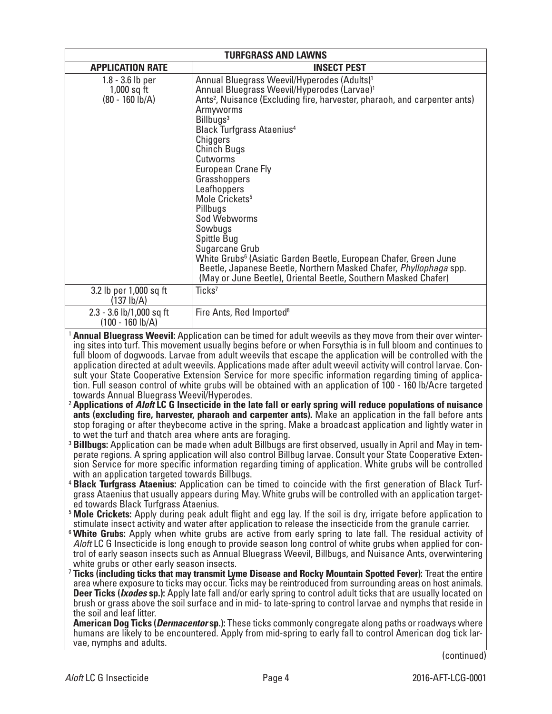| <b>TURFGRASS AND LAWNS</b>                                                                                                                                                                                                                                                                                                                                                                                                                                                                                                                                                                                                                                                                                                                                                                                                                                                                                                                                                                                                                                                                                                                                                                                                                                                                                                                                                                                                                                                                                                                                                                                                                                                                                                                                                                                                                                                                                                                                                                                                                                                                                                                                                                                                                                                                                                                                                                                                                                                                                                                                                                                                                                                                                                                                                                                                                                                                                                                                                                                                                                                                                                                                                                                                                                   |                                                                                                                                                                                                                                                                                                                                                                                                                                                                                                                                                                                                                                                            |  |  |  |  |
|--------------------------------------------------------------------------------------------------------------------------------------------------------------------------------------------------------------------------------------------------------------------------------------------------------------------------------------------------------------------------------------------------------------------------------------------------------------------------------------------------------------------------------------------------------------------------------------------------------------------------------------------------------------------------------------------------------------------------------------------------------------------------------------------------------------------------------------------------------------------------------------------------------------------------------------------------------------------------------------------------------------------------------------------------------------------------------------------------------------------------------------------------------------------------------------------------------------------------------------------------------------------------------------------------------------------------------------------------------------------------------------------------------------------------------------------------------------------------------------------------------------------------------------------------------------------------------------------------------------------------------------------------------------------------------------------------------------------------------------------------------------------------------------------------------------------------------------------------------------------------------------------------------------------------------------------------------------------------------------------------------------------------------------------------------------------------------------------------------------------------------------------------------------------------------------------------------------------------------------------------------------------------------------------------------------------------------------------------------------------------------------------------------------------------------------------------------------------------------------------------------------------------------------------------------------------------------------------------------------------------------------------------------------------------------------------------------------------------------------------------------------------------------------------------------------------------------------------------------------------------------------------------------------------------------------------------------------------------------------------------------------------------------------------------------------------------------------------------------------------------------------------------------------------------------------------------------------------------------------------------------------|------------------------------------------------------------------------------------------------------------------------------------------------------------------------------------------------------------------------------------------------------------------------------------------------------------------------------------------------------------------------------------------------------------------------------------------------------------------------------------------------------------------------------------------------------------------------------------------------------------------------------------------------------------|--|--|--|--|
| <b>APPLICATION RATE</b><br><b>INSECT PEST</b>                                                                                                                                                                                                                                                                                                                                                                                                                                                                                                                                                                                                                                                                                                                                                                                                                                                                                                                                                                                                                                                                                                                                                                                                                                                                                                                                                                                                                                                                                                                                                                                                                                                                                                                                                                                                                                                                                                                                                                                                                                                                                                                                                                                                                                                                                                                                                                                                                                                                                                                                                                                                                                                                                                                                                                                                                                                                                                                                                                                                                                                                                                                                                                                                                |                                                                                                                                                                                                                                                                                                                                                                                                                                                                                                                                                                                                                                                            |  |  |  |  |
| $1.8 - 3.6$ lb per<br>$1,000$ sq ft<br>$(80 - 160$ $(b/A)$                                                                                                                                                                                                                                                                                                                                                                                                                                                                                                                                                                                                                                                                                                                                                                                                                                                                                                                                                                                                                                                                                                                                                                                                                                                                                                                                                                                                                                                                                                                                                                                                                                                                                                                                                                                                                                                                                                                                                                                                                                                                                                                                                                                                                                                                                                                                                                                                                                                                                                                                                                                                                                                                                                                                                                                                                                                                                                                                                                                                                                                                                                                                                                                                   | Annual Bluegrass Weevil/Hyperodes (Adults) <sup>1</sup><br>Annual Bluegrass Weevil/Hyperodes (Larvae) <sup>1</sup><br>Ants <sup>2</sup> , Nuisance (Excluding fire, harvester, pharaoh, and carpenter ants)<br>Armyworms<br>Billbugs <sup>3</sup><br><b>Black Turfgrass Ataenius4</b><br>Chiggers<br><b>Chinch Bugs</b><br>Cutworms<br><b>European Crane Fly</b><br>Grasshoppers<br>Leafhoppers<br>Mole Crickets <sup>5</sup><br>Pillbugs<br>Sod Webworms<br>Sowbugs<br>Spittle Bug<br>Sugarcane Grub<br>White Grubs <sup>6</sup> (Asiatic Garden Beetle, European Chafer, Green June<br>Beetle, Japanese Beetle, Northern Masked Chafer, Phyllophaga spp. |  |  |  |  |
| 3.2 lb per 1,000 sq ft<br>(137 lb/A)                                                                                                                                                                                                                                                                                                                                                                                                                                                                                                                                                                                                                                                                                                                                                                                                                                                                                                                                                                                                                                                                                                                                                                                                                                                                                                                                                                                                                                                                                                                                                                                                                                                                                                                                                                                                                                                                                                                                                                                                                                                                                                                                                                                                                                                                                                                                                                                                                                                                                                                                                                                                                                                                                                                                                                                                                                                                                                                                                                                                                                                                                                                                                                                                                         | (May or June Beetle), Oriental Beetle, Southern Masked Chafer)<br>Ticks <sup>7</sup>                                                                                                                                                                                                                                                                                                                                                                                                                                                                                                                                                                       |  |  |  |  |
| $2.3 - 3.6$ lb/1,000 sq ft<br>$(100 - 160 \text{ lb/A})$                                                                                                                                                                                                                                                                                                                                                                                                                                                                                                                                                                                                                                                                                                                                                                                                                                                                                                                                                                                                                                                                                                                                                                                                                                                                                                                                                                                                                                                                                                                                                                                                                                                                                                                                                                                                                                                                                                                                                                                                                                                                                                                                                                                                                                                                                                                                                                                                                                                                                                                                                                                                                                                                                                                                                                                                                                                                                                                                                                                                                                                                                                                                                                                                     | Fire Ants, Red Imported <sup>8</sup>                                                                                                                                                                                                                                                                                                                                                                                                                                                                                                                                                                                                                       |  |  |  |  |
| <sup>1</sup> Annual Bluegrass Weevil: Application can be timed for adult weevils as they move from their over winter-<br>ing sites into turf. This movement usually begins before or when Forsythia is in full bloom and continues to<br>full bloom of dogwoods. Larvae from adult weevils that escape the application will be controlled with the<br>application directed at adult weevils. Applications made after adult weevil activity will control larvae. Con-<br>sult your State Cooperative Extension Service for more specific information regarding timing of applica-<br>tion. Full season control of white grubs will be obtained with an application of 100 - 160 lb/Acre targeted<br>towards Annual Bluegrass Weevil/Hyperodes.<br><sup>2</sup> Applications of <i>Aloft</i> LC G Insecticide in the late fall or early spring will reduce populations of nuisance<br>ants (excluding fire, harvester, pharaoh and carpenter ants). Make an application in the fall before ants<br>stop foraging or after theybecome active in the spring. Make a broadcast application and lightly water in<br>to wet the turf and thatch area where ants are foraging.<br><sup>3</sup> Billbugs: Application can be made when adult Billbugs are first observed, usually in April and May in tem-<br>perate regions. A spring application will also control Billbug larvae. Consult your State Cooperative Exten-<br>sion Service for more specific information regarding timing of application. White grubs will be controlled<br>with an application targeted towards Billbugs.<br><sup>4</sup> Black Turfgrass Ataenius: Application can be timed to coincide with the first generation of Black Turf-<br>grass Ataenius that usually appears during May. White grubs will be controlled with an application target-<br>ed towards Black Turfgrass Ataenius.<br><sup>5</sup> Mole Crickets: Apply during peak adult flight and egg lay. If the soil is dry, irrigate before application to<br>stimulate insect activity and water after application to release the insecticide from the granule carrier.<br><sup>6</sup> White Grubs: Apply when white grubs are active from early spring to late fall. The residual activity of<br>Aloft LC G Insecticide is long enough to provide season long control of white grubs when applied for con-<br>trol of early season insects such as Annual Bluegrass Weevil, Billbugs, and Nuisance Ants, overwintering<br>white grubs or other early season insects.<br><sup>7</sup> Ticks (including ticks that may transmit Lyme Disease and Rocky Mountain Spotted Fever): Treat the entire<br>area where exposure to ticks may occur. Ticks may be reintroduced from surrounding areas on host animals.<br><b>Deer Ticks (Ixodes sp.):</b> Apply late fall and/or early spring to control adult ticks that are usually located on<br>brush or grass above the soil surface and in mid- to late-spring to control larvae and nymphs that reside in<br>the soil and leaf litter.<br><b>American Dog Ticks (<i>Dermacentor</i> sp.)</b> : These ticks commonly congregate along paths or roadways where<br>humans are likely to be encountered. Apply from mid-spring to early fall to control American dog tick lar- |                                                                                                                                                                                                                                                                                                                                                                                                                                                                                                                                                                                                                                                            |  |  |  |  |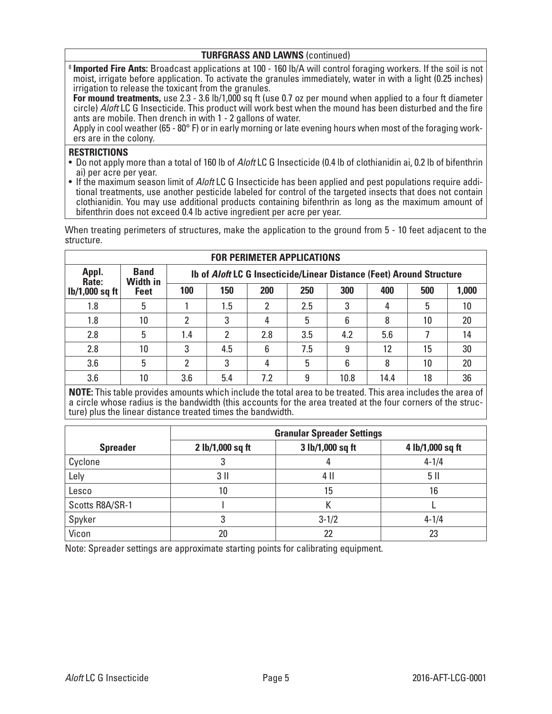## **TURFGRASS AND LAWNS** (continued)

<sup>8</sup> **Imported Fire Ants:** Broadcast applications at 100 - 160 lb/A will control foraging workers. If the soil is not moist, irrigate before application. To activate the granules immediately, water in with a light (0.25 inches) irrigation to release the toxicant from the granules.

**For mound treatments,** use 2.3 - 3.6 lb/1,000 sq ft (use 0.7 oz per mound when applied to a four ft diameter circle) *Aloft* LC G Insecticide. This product will work best when the mound has been disturbed and the fire ants are mobile. Then drench in with 1 - 2 gallons of water.

Apply in cool weather (65 - 80° F) or in early morning or late evening hours when most of the foraging work-<br>ers are in the colony.

### **RESTRICTIONS**

- Do not apply more than a total of 160 lb of *Aloft* LC G Insecticide (0.4 lb of clothianidin ai, 0.2 lb of bifenthrin
- ai) per acre per year.<br>• If the maximum season limit of *Aloft* LC G Insecticide has been applied and pest populations require additional treatments, use another pesticide labeled for control of the targeted insects that does not contain clothianidin. You may use additional products containing bifenthrin as long as the maximum amount of bifenthrin does not exceed 0.4 lb active ingredient per acre per year.

When treating perimeters of structures, make the application to the ground from 5 - 10 feet adjacent to the structure. **FOR PERIMETER APPLICATIONS**

| FOR PERIMETER APPLICATIONS |                                                                                                               |     |     |     |     |      |      |     |       |
|----------------------------|---------------------------------------------------------------------------------------------------------------|-----|-----|-----|-----|------|------|-----|-------|
| Appl.<br>Rate:             | <b>Band</b><br>Ib of <i>Aloft</i> LC G Insecticide/Linear Distance (Feet) Around Structure<br><b>Width in</b> |     |     |     |     |      |      |     |       |
| $lb/1,000$ sq ft           | <b>Feet</b>                                                                                                   | 100 | 150 | 200 | 250 | 300  | 400  | 500 | 1,000 |
| 1.8                        | 5                                                                                                             |     | 1.5 | 2   | 2.5 | 3    |      | 5   | 10    |
| 1.8                        | 10                                                                                                            | 2   | 3   | 4   | 5   | 6    | 8    | 10  | 20    |
| 2.8                        | 5                                                                                                             | 1.4 | 2   | 2.8 | 3.5 | 4.2  | 5.6  |     | 14    |
| 2.8                        | 10                                                                                                            | 3   | 4.5 | 6   | 7.5 | 9    | 12   | 15  | 30    |
| 3.6                        | 5                                                                                                             | 2   | 3   | 4   | 5   | 6    | 8    | 10  | 20    |
| 3.6                        | 10                                                                                                            | 3.6 | 5.4 | 7.2 | 9   | 10.8 | 14.4 | 18  | 36    |

**NOTE:** This table provides amounts which include the total area to be treated. This area includes the area of a circle whose radius is the bandwidth (this accounts for the area treated at the four corners of the struc- ture) plus the linear distance treated times the bandwidth.

|                 | <b>Granular Spreader Settings</b> |                  |                  |  |  |
|-----------------|-----------------------------------|------------------|------------------|--|--|
| <b>Spreader</b> | 2 lb/1,000 sq ft                  | 3 lb/1,000 sq ft | 4 lb/1,000 sq ft |  |  |
| Cyclone         |                                   |                  | $4 - 1/4$        |  |  |
| Lely            | $3$ II                            | 4 II             | 5 II             |  |  |
| Lesco           | 10                                | 15               | 16               |  |  |
| Scotts R8A/SR-1 |                                   |                  |                  |  |  |
| Spyker          | 3                                 | $3 - 1/2$        | $4 - 1/4$        |  |  |
| Vicon           | 20                                | 22               | 23               |  |  |

Note: Spreader settings are approximate starting points for calibrating equipment.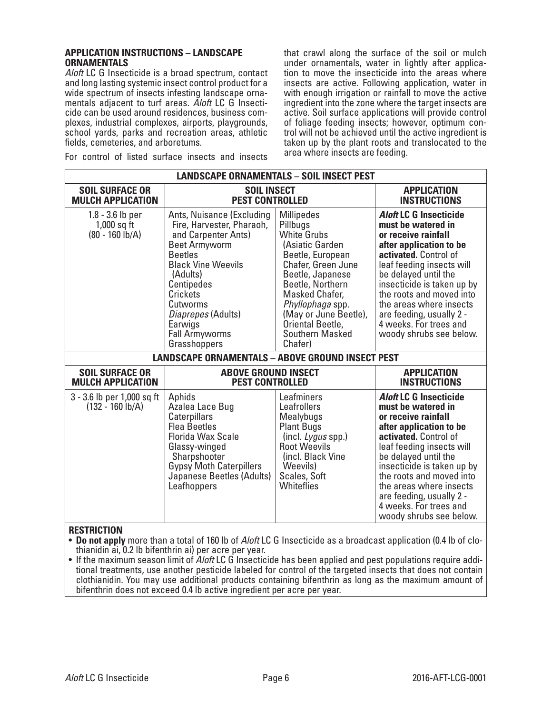#### **APPLICATION INSTRUCTIONS – LANDSCAPE ORNAMENTALS**

*Aloft* LC G Insecticide is a broad spectrum, contact and long lasting systemic insect control product for a wide spectrum of insects infesting landscape ornamentals adjacent to turf areas. *Aloft* LC G Insecticide can be used around residences, business complexes, industrial complexes, airports, playgrounds, school yards, parks and recreation areas, athletic fields, cemeteries, and arboretums.

For control of listed surface insects and insects

that crawl along the surface of the soil or mulch under ornamentals, water in lightly after application to move the insecticide into the areas where insects are active. Following application, water in with enough irrigation or rainfall to move the active ingredient into the zone where the target insects are active. Soil surface applications will provide control of foliage feeding insects; however, optimum control will not be achieved until the active ingredient is taken up by the plant roots and translocated to the area where insects are feeding.

| <b>LANDSCAPE ORNAMENTALS - SOIL INSECT PEST</b>                                                                                                                                                                                                                                                                                                      |                                                                                                                                                                                                             |                                                                                                                                                                                                                                                                           |                                                                                                                                                                                                                                                                                                                                                           |  |  |
|------------------------------------------------------------------------------------------------------------------------------------------------------------------------------------------------------------------------------------------------------------------------------------------------------------------------------------------------------|-------------------------------------------------------------------------------------------------------------------------------------------------------------------------------------------------------------|---------------------------------------------------------------------------------------------------------------------------------------------------------------------------------------------------------------------------------------------------------------------------|-----------------------------------------------------------------------------------------------------------------------------------------------------------------------------------------------------------------------------------------------------------------------------------------------------------------------------------------------------------|--|--|
| <b>SOIL SURFACE OR</b><br><b>MULCH APPLICATION</b>                                                                                                                                                                                                                                                                                                   | <b>SOIL INSECT</b><br><b>PEST CONTROLLED</b>                                                                                                                                                                | <b>APPLICATION</b><br><b>INSTRUCTIONS</b>                                                                                                                                                                                                                                 |                                                                                                                                                                                                                                                                                                                                                           |  |  |
| $1.8 - 3.6$ lb per<br>Ants, Nuisance (Excluding<br>Fire, Harvester, Pharaoh,<br>$1,000$ sq ft<br>$(80 - 160)$ lb/A)<br>and Carpenter Ants)<br><b>Beet Armyworm</b><br><b>Beetles</b><br><b>Black Vine Weevils</b><br>(Adults)<br>Centipedes<br><b>Crickets</b><br>Cutworms<br>Diaprepes (Adults)<br>Earwigs<br><b>Fall Armyworms</b><br>Grasshoppers |                                                                                                                                                                                                             | <b>Millipedes</b><br>Pillbugs<br><b>White Grubs</b><br>(Asiatic Garden<br>Beetle, European<br>Chafer, Green June<br>Beetle, Japanese<br>Beetle, Northern<br>Masked Chafer,<br>Phyllophaga spp.<br>(May or June Beetle),<br>Oriental Beetle,<br>Southern Masked<br>Chafer) | <b>Aloft LC G Insecticide</b><br>must be watered in<br>or receive rainfall<br>after application to be<br>activated. Control of<br>leaf feeding insects will<br>be delayed until the<br>insecticide is taken up by<br>the roots and moved into<br>the areas where insects<br>are feeding, usually 2 -<br>4 weeks. For trees and<br>woody shrubs see below. |  |  |
|                                                                                                                                                                                                                                                                                                                                                      | <b>LANDSCAPE ORNAMENTALS - ABOVE GROUND INSECT PEST</b>                                                                                                                                                     |                                                                                                                                                                                                                                                                           |                                                                                                                                                                                                                                                                                                                                                           |  |  |
| <b>SOIL SURFACE OR</b><br><b>MULCH APPLICATION</b>                                                                                                                                                                                                                                                                                                   | <b>ABOVE GROUND INSECT</b><br><b>PEST CONTROLLED</b>                                                                                                                                                        |                                                                                                                                                                                                                                                                           | <b>APPLICATION</b><br><b>INSTRUCTIONS</b>                                                                                                                                                                                                                                                                                                                 |  |  |
| 3 - 3.6 lb per 1,000 sq ft<br>$(132 - 160 \text{ lb/A})$                                                                                                                                                                                                                                                                                             | Aphids<br>Azalea Lace Bug<br>Caterpillars<br><b>Flea Beetles</b><br><b>Florida Wax Scale</b><br>Glassy-winged<br>Sharpshooter<br><b>Gypsy Moth Caterpillers</b><br>Japanese Beetles (Adults)<br>Leafhoppers | Leafminers<br>Leafrollers<br>Mealybugs<br><b>Plant Bugs</b><br>(incl. Lygus spp.)<br><b>Root Weevils</b><br>(incl. Black Vine<br>Weevils)<br>Scales, Soft<br>Whiteflies                                                                                                   | <b>Aloft LC G Insecticide</b><br>must be watered in<br>or receive rainfall<br>after application to be<br>activated. Control of<br>leaf feeding insects will<br>be delayed until the<br>insecticide is taken up by<br>the roots and moved into<br>the areas where insects<br>are feeding, usually 2 -<br>4 weeks. For trees and<br>woody shrubs see below. |  |  |
| <b>RESTRICTION</b><br>• Do not apply more than a total of 160 lb of Aloft LC G Insecticide as a broadcast application (0.4 lb of clo-<br>thianidin ai, 0.2 lb bifenthrin ai) per acre per year.                                                                                                                                                      |                                                                                                                                                                                                             |                                                                                                                                                                                                                                                                           |                                                                                                                                                                                                                                                                                                                                                           |  |  |

• If the maximum season limit of *Aloft* LC G Insecticide has been applied and pest populations require additional treatments, use another pesticide labeled for control of the targeted insects that does not contain clothianidin. You may use additional products containing bifenthrin as long as the maximum amount of bifenthrin does not exceed 0.4 lb active ingredient per acre per year.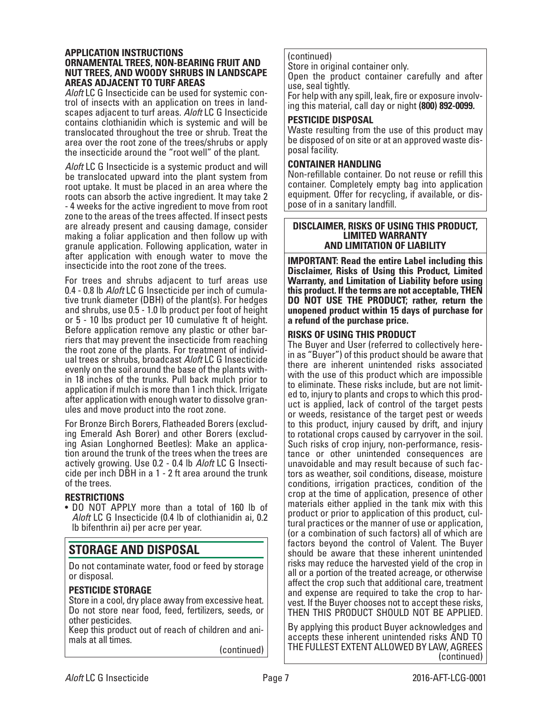#### **APPLICATION INSTRUCTIONS ORNAMENTAL TREES, NON-BEARING FRUIT AND NUT TREES, AND WOODY SHRUBS IN LANDSCAPE AREAS ADJACENT TO TURF AREAS**

*Aloft* LC G Insecticide can be used for systemic con- trol of insects with an application on trees in land- scapes adjacent to turf areas. *Aloft* LC G Insecticide contains clothianidin which is systemic and will be translocated throughout the tree or shrub. Treat the area over the root zone of the trees/shrubs or apply the insecticide around the "root well" of the plant.

*Aloft* LC G Insecticide is a systemic product and will be translocated upward into the plant system from root uptake. It must be placed in an area where the roots can absorb the active ingredient. It may take 2 - 4 weeks for the active ingredient to move from root zone to the areas of the trees affected. If insect pests are already present and causing damage, consider making a foliar application and then follow up with granule application. Following application, water in after application with enough water to move the insecticide into the root zone of the trees.

For trees and shrubs adjacent to turf areas use 0.4 - 0.8 lb *Aloft* LC G Insecticide per inch of cumulative trunk diameter (DBH) of the plant(s). For hedges and shrubs, use 0.5 - 1.0 lb product per foot of height or 5 - 10 lbs product per 10 cumulative ft of height. Before application remove any plastic or other barriers that may prevent the insecticide from reaching the root zone of the plants. For treatment of individual trees or shrubs, broadcast *Aloft* LC G Insecticide evenly on the soil around the base of the plants within 18 inches of the trunks. Pull back mulch prior to application if mulch is more than 1 inch thick. Irrigate after application with enough water to dissolve gran- ules and move product into the root zone.

For Bronze Birch Borers, Flatheaded Borers (excluding Emerald Ash Borer) and other Borers (excluding Asian Longhorned Beetles): Make an application around the trunk of the trees when the trees are actively growing. Use 0.2 - 0.4 lb *Aloft* LC G Insecticide per inch DBH in a 1 - 2 ft area around the trunk of the trees.

# **RESTRICTIONS**

• DO NOT APPLY more than a total of 160 lb of *Aloft* LC G Insecticide (0.4 lb of clothianidin ai, 0.2 lb bifenthrin ai) per acre per year.

# **STORAGE AND DISPOSAL**

Do not contaminate water, food or feed by storage or disposal.

# **PESTICIDE STORAGE**

Store in a cool, dry place away from excessive heat. Do not store near food, feed, fertilizers, seeds, or other pesticides.

Keep this product out of reach of children and ani- mals at all times.

(continued)

# (continued)

Store in original container only.

Open the product container carefully and after use, seal tightly.

For help with any spill, leak, fire or exposure involving this material, call day or night **(800) 892-0099.**

# **PESTICIDE DISPOSAL**

Waste resulting from the use of this product may be disposed of on site or at an approved waste disposal facility.

## **CONTAINER HANDLING**

Non-refillable container. Do not reuse or refill this container. Completely empty bag into application equipment. Offer for recycling, if available, or dis- pose of in a sanitary landfill.

#### **DISCLAIMER, RISKS OF USING THIS PRODUCT, LIMITED WARRANTY AND LIMITATION OF LIABILITY**

**IMPORTANT: Read the entire Label including this Disclaimer, Risks of Using this Product, Limited Warranty, and Limitation of Liability before using this product. If the terms are not acceptable, THEN DO NOT USE THE PRODUCT; rather, return the unopened product within 15 days of purchase for a refund of the purchase price.**

# **RISKS OF USING THIS PRODUCT**

The Buyer and User (referred to collectively herein as "Buyer") of this product should be aware that there are inherent unintended risks associated with the use of this product which are impossible to eliminate. These risks include, but are not limit- ed to, injury to plants and crops to which this product is applied, lack of control of the target pests or weeds, resistance of the target pest or weeds to this product, injury caused by drift, and injury to rotational crops caused by carryover in the soil. Such risks of crop injury, non-performance, resistance or other unintended consequences are unavoidable and may result because of such factors as weather, soil conditions, disease, moisture conditions, irrigation practices, condition of the crop at the time of application, presence of other materials either applied in the tank mix with this product or prior to application of this product, cultural practices or the manner of use or application, (or a combination of such factors) all of which are factors beyond the control of Valent. The Buyer should be aware that these inherent unintended risks may reduce the harvested yield of the crop in all or a portion of the treated acreage, or otherwise affect the crop such that additional care, treatment vest. If the Buyer chooses not to accept these risks, THEN THIS PRODUCT SHOULD NOT BE APPLIED.

By applying this product Buyer acknowledges and accepts these inherent unintended risks AND TO THE FULLEST EXTENT ALLOWED BY LAW, AGREES (continued)